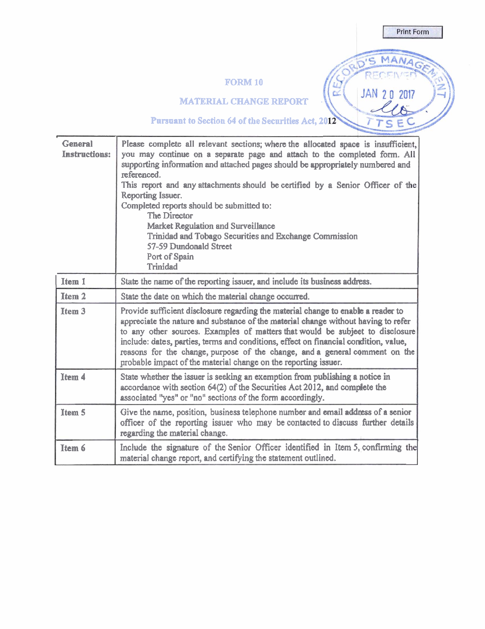# **FORM 10**

**Print Form** 

MANA

JAN 20 2017

C

 $\overline{b}$ 's

RE

**MATERIAL CHANGE REPORT** .

**Pursuant** to Section **64** of **the Securities Act, 20** 

| <b>General</b><br><b>Instructions:</b> | Please complete all relevant sections; where the allocated space is insufficient,<br>you may continue on a separate page and attach to the completed form. All<br>supporting information and attached pages should be appropriately numbered and<br>referenced.<br>This report and any attachments should be certified by a Senior Officer of the<br>Reporting Issuer.<br>Completed reports should be submitted to:<br><b>The Director</b><br><b>Market Regulation and Surveillance</b><br>Trinidad and Tobago Securities and Exchange Commission<br>57-59 Dundonald Street<br>Port of Spain<br>Trinidad |
|----------------------------------------|----------------------------------------------------------------------------------------------------------------------------------------------------------------------------------------------------------------------------------------------------------------------------------------------------------------------------------------------------------------------------------------------------------------------------------------------------------------------------------------------------------------------------------------------------------------------------------------------------------|
| Item 1                                 | State the name of the reporting issuer, and include its business address.                                                                                                                                                                                                                                                                                                                                                                                                                                                                                                                                |
| <b>Item 2</b>                          | State the date on which the material change occurred.                                                                                                                                                                                                                                                                                                                                                                                                                                                                                                                                                    |
| <b>Item 3</b>                          | Provide sufficient disclosure regarding the material change to enable a reader to<br>appreciate the nature and substance of the material change without having to refer<br>to any other sources. Examples of matters that would be subject to disclosure<br>include: dates, parties, terms and conditions, effect on financial condition, value,<br>reasons for the change, purpose of the change, and a general comment on the<br>probable impact of the material change on the reporting issuer.                                                                                                       |
| Item 4                                 | State whether the issuer is seeking an exemption from publishing a notice in<br>accordance with section 64(2) of the Securities Act 2012, and complete the<br>associated "yes" or "no" sections of the form accordingly.                                                                                                                                                                                                                                                                                                                                                                                 |
| Item <sub>5</sub>                      | Give the name, position, business telephone number and email address of a senior<br>officer of the reporting issuer who may be contacted to discuss further details<br>regarding the material change.                                                                                                                                                                                                                                                                                                                                                                                                    |
| Item 6                                 | Include the signature of the Senior Officer identified in Item 5, confirming the<br>material change report, and certifying the statement outlined.                                                                                                                                                                                                                                                                                                                                                                                                                                                       |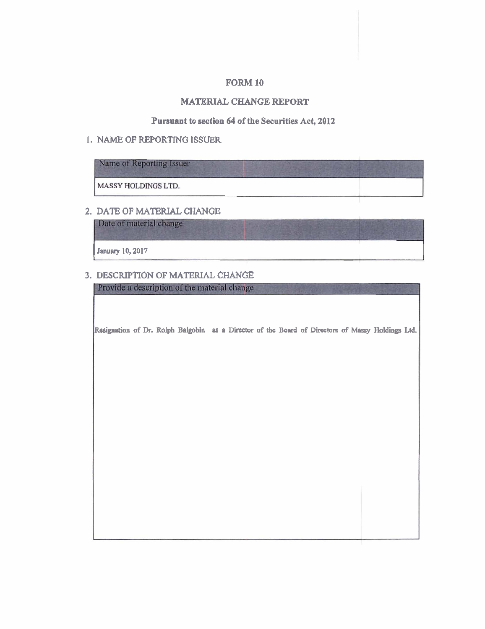#### **FORM 10**

### **MATERIAL CHANGE REPORT**

### **Punnant to section 64 of the Securities Act, 2012**

#### **1. NAME OF REPORTING ISSUER**

| Name of Reporting Issuer   |  |  |
|----------------------------|--|--|
| <b>MASSY HOLDINGS LTD.</b> |  |  |

## **2. DATE OF MATERIAL CHANGE**

Date of material change

January 10, 2017

### **3. DESCRIPTION OF MATERIAL CHANGE**

Provide a description of the material change

**Resignation of Dr. Rolph Balgobin** as a Director of the Board of Directors of Massy Holdings Ltd.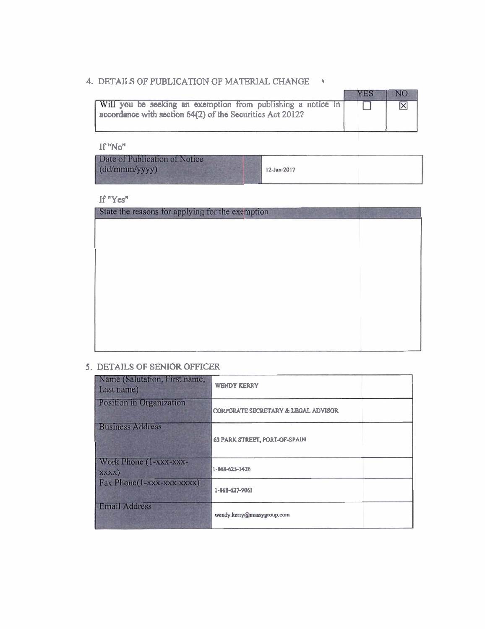# **4. DETAILS OF PUBLICATION OF MATERIAL CHANGE** \*

|                                                                                                                           | <b>YES</b> |  |
|---------------------------------------------------------------------------------------------------------------------------|------------|--|
| Will you be seeking an exemption from publishing a notice in<br>accordance with section 64(2) of the Securities Act 2012? |            |  |

**If 'No"** 

If  $"Yes"$ 

| State the reasons for applying for the exemption |  |
|--------------------------------------------------|--|
|                                                  |  |
|                                                  |  |
|                                                  |  |
|                                                  |  |
|                                                  |  |
|                                                  |  |
|                                                  |  |
|                                                  |  |
|                                                  |  |
|                                                  |  |

## **5. DETAILS OF SENIOR OFFICER**

| Name (Salutation, First name,<br>Last name) | <b>WENDY KERRY</b>                   |
|---------------------------------------------|--------------------------------------|
| Position in Organization                    | CORPORATE SECRETARY & LEGAL ADVISOR  |
| <b>Business Address</b>                     | <b>63 PARK STREET, PORT-OF-SPAIN</b> |
| Work Phone (1-xxx-xxx-<br>XXXX)             | 1-868-625-3426                       |
| Fax Phone(1-xxx-xxx-xxxx)                   | 1-868-627-9061                       |
| <b>Email Address</b>                        | wendy.kerry@massygroup.com           |